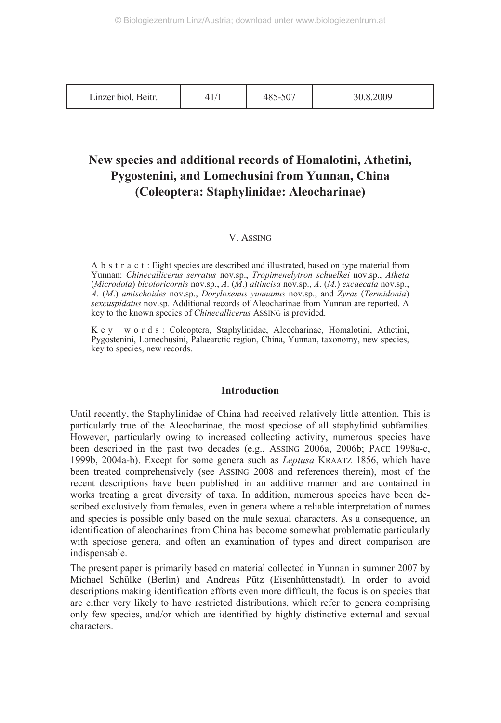| Linzer biol. Beitr. | \1/1 | -507<br>460- | 30.8.2009 |
|---------------------|------|--------------|-----------|
|---------------------|------|--------------|-----------|

## **New species and additional records of Homalotini, Athetini, Pygostenini, and Lomechusini from Yunnan, China (Coleoptera: Staphylinidae: Aleocharinae)**

## V. ASSING

A b s t r a c t : Eight species are described and illustrated, based on type material from Yunnan: *Chinecallicerus serratus* nov.sp., *Tropimenelytron schuelkei* nov.sp., *Atheta* (*Microdota*) *bicoloricornis* nov.sp., *A*. (*M*.) *altincisa* nov.sp., *A*. (*M*.) *excaecata* nov.sp., *A*. (*M*.) *amischoides* nov.sp., *Doryloxenus yunnanus* nov.sp., and *Zyras* (*Termidonia*) *sexcuspidatus* nov.sp. Additional records of Aleocharinae from Yunnan are reported. A key to the known species of *Chinecallicerus* ASSING is provided.

K e y w o r d s : Coleoptera, Staphylinidae, Aleocharinae, Homalotini, Athetini, Pygostenini, Lomechusini, Palaearctic region, China, Yunnan, taxonomy, new species, key to species, new records.

#### **Introduction**

Until recently, the Staphylinidae of China had received relatively little attention. This is particularly true of the Aleocharinae, the most speciose of all staphylinid subfamilies. However, particularly owing to increased collecting activity, numerous species have been described in the past two decades (e.g., ASSING 2006a, 2006b; PACE 1998a-c, 1999b, 2004a-b). Except for some genera such as *Leptusa* KRAATZ 1856, which have been treated comprehensively (see ASSING 2008 and references therein), most of the recent descriptions have been published in an additive manner and are contained in works treating a great diversity of taxa. In addition, numerous species have been described exclusively from females, even in genera where a reliable interpretation of names and species is possible only based on the male sexual characters. As a consequence, an identification of aleocharines from China has become somewhat problematic particularly with speciose genera, and often an examination of types and direct comparison are indispensable.

The present paper is primarily based on material collected in Yunnan in summer 2007 by Michael Schülke (Berlin) and Andreas Pütz (Eisenhüttenstadt). In order to avoid descriptions making identification efforts even more difficult, the focus is on species that are either very likely to have restricted distributions, which refer to genera comprising only few species, and/or which are identified by highly distinctive external and sexual characters.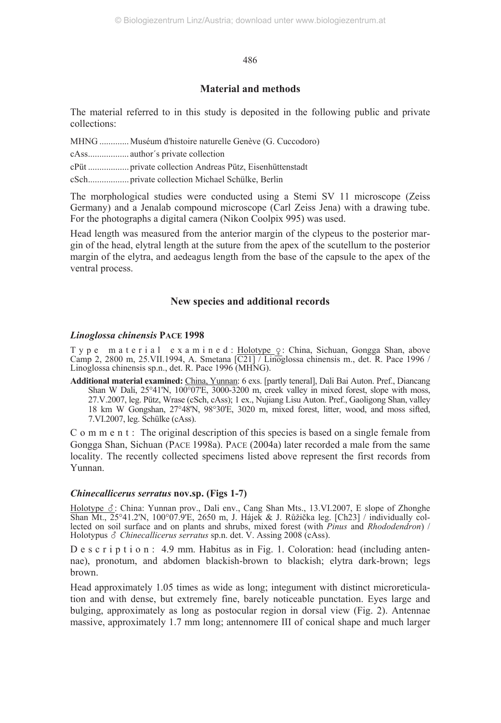## **Material and methods**

The material referred to in this study is deposited in the following public and private collections:

MHNG ............. Muséum d'histoire naturelle Genève (G. Cuccodoro)

cAss.................. author´s private collection

cPüt .................. private collection Andreas Pütz, Eisenhüttenstadt

cSch.................. private collection Michael Schülke, Berlin

The morphological studies were conducted using a Stemi SV 11 microscope (Zeiss Germany) and a Jenalab compound microscope (Carl Zeiss Jena) with a drawing tube. For the photographs a digital camera (Nikon Coolpix 995) was used.

Head length was measured from the anterior margin of the clypeus to the posterior margin of the head, elytral length at the suture from the apex of the scutellum to the posterior margin of the elytra, and aedeagus length from the base of the capsule to the apex of the ventral process.

## **New species and additional records**

## *Linoglossa chinensis* **PACE 1998**

T y p e m a t e r i a l e x a m i n e d : Holotype  $\varphi$ : China, Sichuan, Gongga Shan, above Camp 2, 2800 m, 25. VII.1994, A. Smetana  $\sqrt{C21}$  / Linoglossa chinensis m., det. R. Pace 1996 / Linoglossa chinensis sp.n., det. R. Pace 1996 (MHNG).

**Additional material examined:** China, Yunnan: 6 exs. [partly teneral], Dali Bai Auton. Pref., Diancang Shan W Dali, 25°41'N, 100°07'E, 3000-3200 m, creek valley in mixed forest, slope with moss, 27.V.2007, leg. Pütz, Wrase (cSch, cAss); 1 ex., Nujiang Lisu Auton. Pref., Gaoligong Shan, valley 18 km W Gongshan, 27°48'N, 98°30'E, 3020 m, mixed forest, litter, wood, and moss sifted, 7.VI.2007, leg. Schülke (cAss).

C o m m e n t : The original description of this species is based on a single female from Gongga Shan, Sichuan (PACE 1998a). PACE (2004a) later recorded a male from the same locality. The recently collected specimens listed above represent the first records from Yunnan.

#### *Chinecallicerus serratus* **nov.sp. (Figs 1-7)**

Holotype  $\Sigma$ : China: Yunnan prov., Dali env., Cang Shan Mts., 13.VI.2007, E slope of Zhonghe Shan Mt., 25°41.2'N, 100°07.9'E, 2650 m, J. Hájek & J. Růžička leg. [Ch23] / individually collected on soil surface and on plants and shrubs, mixed forest (with *Pinus* and *Rhododendron*) / Holotypus & Chinecallicerus serratus sp.n. det. V. Assing 2008 (cAss).

D e s c r i p t i o n : 4.9 mm. Habitus as in Fig. 1. Coloration: head (including antennae), pronotum, and abdomen blackish-brown to blackish; elytra dark-brown; legs brown.

Head approximately 1.05 times as wide as long; integument with distinct microreticulation and with dense, but extremely fine, barely noticeable punctation. Eyes large and bulging, approximately as long as postocular region in dorsal view (Fig. 2). Antennae massive, approximately 1.7 mm long; antennomere III of conical shape and much larger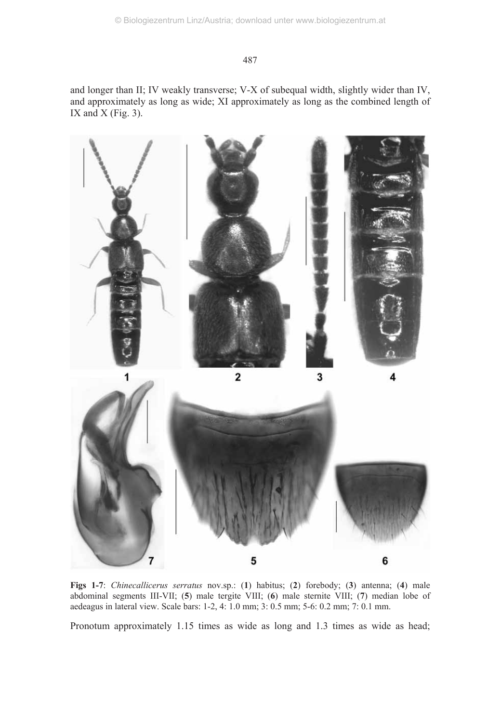and longer than II; IV weakly transverse; V-X of subequal width, slightly wider than IV, and approximately as long as wide; XI approximately as long as the combined length of IX and  $X$  (Fig. 3).



**Figs 1-7**: *Chinecallicerus serratus* nov.sp.: (**1**) habitus; (**2**) forebody; (**3**) antenna; (**4**) male abdominal segments III-VII; (**5**) male tergite VIII; (**6**) male sternite VIII; (**7**) median lobe of aedeagus in lateral view. Scale bars: 1-2, 4: 1.0 mm; 3: 0.5 mm; 5-6: 0.2 mm; 7: 0.1 mm.

Pronotum approximately 1.15 times as wide as long and 1.3 times as wide as head;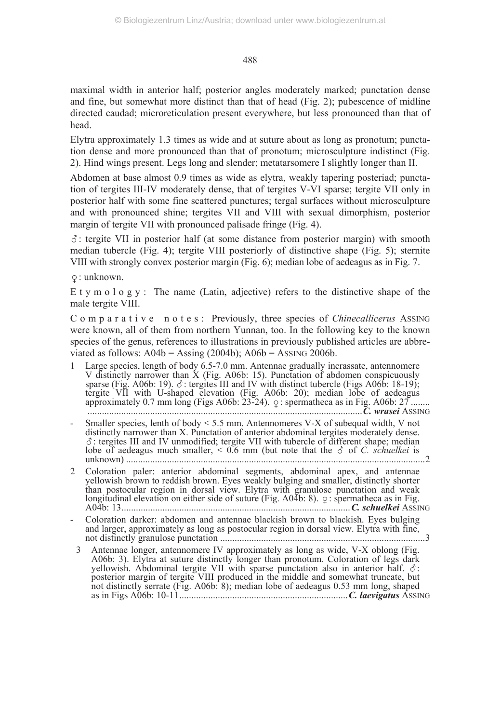maximal width in anterior half; posterior angles moderately marked; punctation dense and fine, but somewhat more distinct than that of head (Fig. 2); pubescence of midline directed caudad; microreticulation present everywhere, but less pronounced than that of head.

Elytra approximately 1.3 times as wide and at suture about as long as pronotum; punctation dense and more pronounced than that of pronotum; microsculpture indistinct (Fig. 2). Hind wings present. Legs long and slender; metatarsomere I slightly longer than II.

Abdomen at base almost 0.9 times as wide as elytra, weakly tapering posteriad; punctation of tergites III-IV moderately dense, that of tergites V-VI sparse; tergite VII only in posterior half with some fine scattered punctures; tergal surfaces without microsculpture and with pronounced shine; tergites VII and VIII with sexual dimorphism, posterior margin of tergite VII with pronounced palisade fringe (Fig. 4).

 $\delta$ : tergite VII in posterior half (at some distance from posterior margin) with smooth median tubercle (Fig. 4); tergite VIII posteriorly of distinctive shape (Fig. 5); sternite VIII with strongly convex posterior margin (Fig. 6); median lobe of aedeagus as in Fig. 7.

: unknown.

E t y m o  $l$  o g y : The name (Latin, adjective) refers to the distinctive shape of the male tergite VIII.

C o m p a r a t i v e n o t e s : Previously, three species of *Chinecallicerus* ASSING were known, all of them from northern Yunnan, too. In the following key to the known species of the genus, references to illustrations in previously published articles are abbreviated as follows:  $A04b =$  Assing (2004b);  $A06b =$  Assing 2006b.

- Large species, length of body 6.5-7.0 mm. Antennae gradually incrassate, antennomere V distinctly narrower than X (Fig. A06b: 15). Punctation of abdomen conspicuously sparse (Fig. A06b: 19).  $\delta$ : tergites III and IV with distinct tubercle (Figs A06b: 18-19); tergite VII with U-shaped elevation (Fig. A06b: 20); median lobe of aedeagus approximately 0.7 mm long (Figs A06b: 23-24). : spermatheca as in Fig. A06b: 27 ........ ..................................................................................................................*C. wrasei* ASSING
- Smaller species, lenth of body  $\leq 5.5$  mm. Antennomeres V-X of subequal width, V not distinctly narrower than X. Punctation of anterior abdominal tergites moderately dense.  $\delta$ : tergites III and IV unmodified; tergite VII with tubercle of different shape; median lobe of aedeagus much smaller,  $\leq 0.6$  mm (but note that the  $\delta$  of *C. schuelkei* is unknown) ............................................................................................................................2
- 2 Coloration paler: anterior abdominal segments, abdominal apex, and antennae yellowish brown to reddish brown. Eyes weakly bulging and smaller, distinctly shorter than postocular region in dorsal view. Elytra with granulose punctation and weak longitudinal elevation on either side of suture (Fig.  $A0\overline{4}b$ : 8).  $\varphi$ : spermatheca as in Fig. A04b: 13...............................................................................................*C. schuelkei* ASSING
- Coloration darker: abdomen and antennae blackish brown to blackish. Eyes bulging and larger, approximately as long as postocular region in dorsal view. Elytra with fine, not distinctly granulose punctation .....................................................................................3
- 3 Antennae longer, antennomere IV approximately as long as wide, V-X oblong (Fig. A06b: 3). Elytra at suture distinctly longer than pronotum. Coloration of legs dark yellowish. Abdominal tergite VII with sparse punctation also in anterior half.  $\delta$ : posterior margin of tergite VIII produced in the middle and somewhat truncate, but not distinctly serrate (Fig. A06b: 8); median lobe of aedeagus 0.53 mm long, shaped as in Figs A06b: 10-11......................................................................*C. laevigatus* ASSING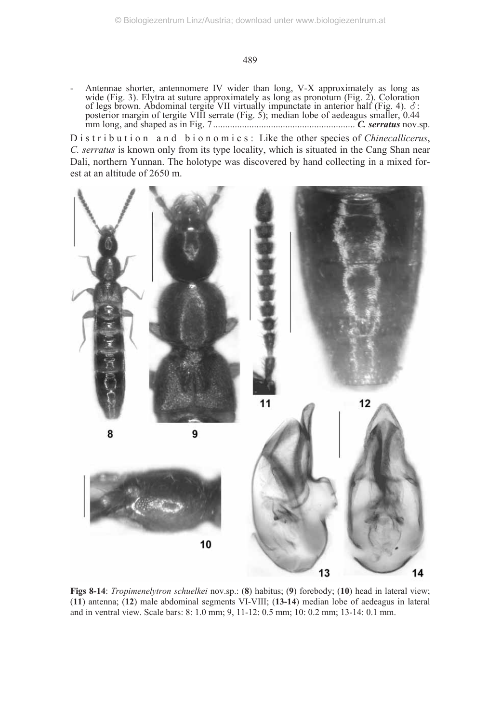Antennae shorter, antennomere IV wider than long, V-X approximately as long as wide (Fig. 3). Elytra at suture approximately as long as pronotum (Fig. 2). Coloration of legs brown. Abdominal tergite VII virtually impunctate in anterior half (Fig. 4).  $\delta$ : posterior margin of tergite VIII serrate (Fig. 5); median lobe of aedeagus smaller, 0.44 mm long, and shaped as in Fig. 7........................................................... *C. serratus* nov.sp.

D is tribution and bionomics: Like the other species of *Chinecallicerus*, *C. serratus* is known only from its type locality, which is situated in the Cang Shan near Dali, northern Yunnan. The holotype was discovered by hand collecting in a mixed forest at an altitude of 2650 m.



**Figs 8-14**: *Tropimenelytron schuelkei* nov.sp.: (**8**) habitus; (**9**) forebody; (**10**) head in lateral view; (**11**) antenna; (**12**) male abdominal segments VI-VIII; (**13-14**) median lobe of aedeagus in lateral and in ventral view. Scale bars: 8: 1.0 mm; 9, 11-12: 0.5 mm; 10: 0.2 mm; 13-14: 0.1 mm.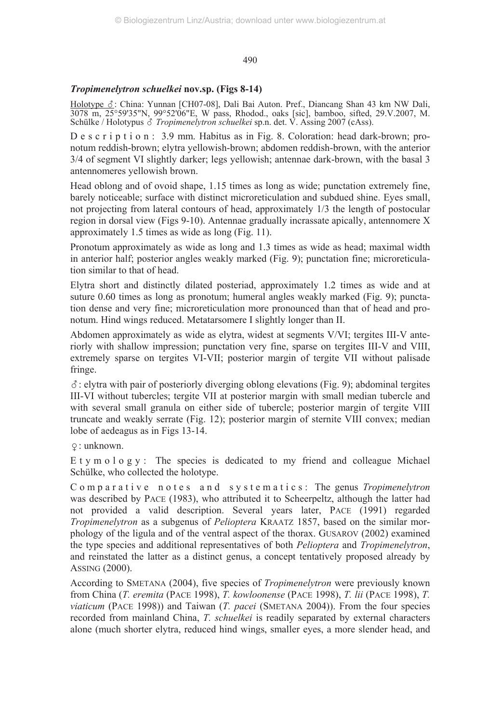## *Tropimenelytron schuelkei* **nov.sp. (Figs 8-14)**

Holotype &: China: Yunnan [CH07-08], Dali Bai Auton. Pref., Diancang Shan 43 km NW Dali, 3078 m, 25°59'35"N, 99°52'06"E, W pass, Rhodod., oaks [sic], bamboo, sifted, 29.V.2007, M. Schülke / Holotypus *& Tropimenelytron schuelkei* sp.n. det. V. Assing 2007 (cAss).

D e s c r i p t i o n : 3.9 mm. Habitus as in Fig. 8. Coloration: head dark-brown; pronotum reddish-brown; elytra yellowish-brown; abdomen reddish-brown, with the anterior 3/4 of segment VI slightly darker; legs yellowish; antennae dark-brown, with the basal 3 antennomeres yellowish brown.

Head oblong and of ovoid shape, 1.15 times as long as wide; punctation extremely fine, barely noticeable; surface with distinct microreticulation and subdued shine. Eyes small, not projecting from lateral contours of head, approximately 1/3 the length of postocular region in dorsal view (Figs 9-10). Antennae gradually incrassate apically, antennomere X approximately 1.5 times as wide as long (Fig. 11).

Pronotum approximately as wide as long and 1.3 times as wide as head; maximal width in anterior half; posterior angles weakly marked (Fig. 9); punctation fine; microreticulation similar to that of head.

Elytra short and distinctly dilated posteriad, approximately 1.2 times as wide and at suture 0.60 times as long as pronotum; humeral angles weakly marked (Fig. 9); punctation dense and very fine; microreticulation more pronounced than that of head and pronotum. Hind wings reduced. Metatarsomere I slightly longer than II.

Abdomen approximately as wide as elytra, widest at segments V/VI; tergites III-V anteriorly with shallow impression; punctation very fine, sparse on tergites III-V and VIII, extremely sparse on tergites VI-VII; posterior margin of tergite VII without palisade fringe.

-: elytra with pair of posteriorly diverging oblong elevations (Fig. 9); abdominal tergites III-VI without tubercles; tergite VII at posterior margin with small median tubercle and with several small granula on either side of tubercle; posterior margin of tergite VIII truncate and weakly serrate (Fig. 12); posterior margin of sternite VIII convex; median lobe of aedeagus as in Figs 13-14.

: unknown.

E t y m o  $\log y$  : The species is dedicated to my friend and colleague Michael Schülke, who collected the holotype.

C o m p a r a t i v e n o t e s a n d s y s t e m a t i c s : The genus *Tropimenelytron* was described by PACE (1983), who attributed it to Scheerpeltz, although the latter had not provided a valid description. Several years later, PACE (1991) regarded *Tropimenelytron* as a subgenus of *Pelioptera* KRAATZ 1857, based on the similar morphology of the ligula and of the ventral aspect of the thorax. GUSAROV (2002) examined the type species and additional representatives of both *Pelioptera* and *Tropimenelytron*, and reinstated the latter as a distinct genus, a concept tentatively proposed already by ASSING (2000).

According to SMETANA (2004), five species of *Tropimenelytron* were previously known from China (*T. eremita* (PACE 1998), *T. kowloonense* (PACE 1998), *T. lii* (PACE 1998), *T. viaticum* (PACE 1998)) and Taiwan (*T. pacei* (SMETANA 2004)). From the four species recorded from mainland China, *T. schuelkei* is readily separated by external characters alone (much shorter elytra, reduced hind wings, smaller eyes, a more slender head, and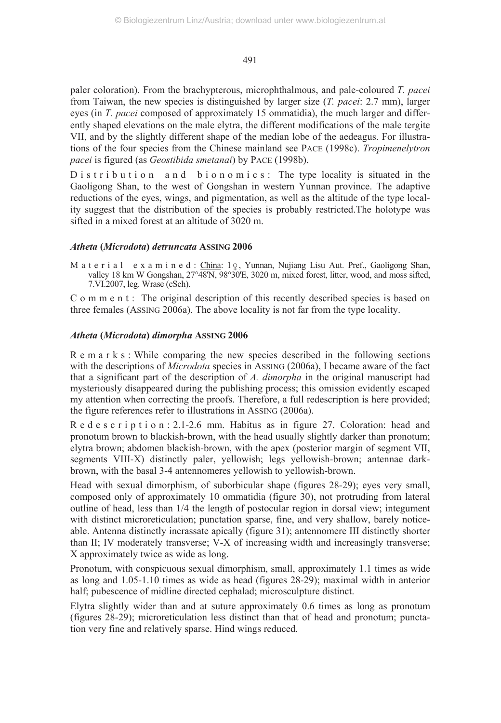paler coloration). From the brachypterous, microphthalmous, and pale-coloured *T. pacei* from Taiwan, the new species is distinguished by larger size (*T. pacei*: 2.7 mm), larger eyes (in *T. pacei* composed of approximately 15 ommatidia), the much larger and differently shaped elevations on the male elytra, the different modifications of the male tergite VII, and by the slightly different shape of the median lobe of the aedeagus. For illustrations of the four species from the Chinese mainland see PACE (1998c). *Tropimenelytron pacei* is figured (as *Geostibida smetanai*) by PACE (1998b).

D is tribution and bionomics: The type locality is situated in the Gaoligong Shan, to the west of Gongshan in western Yunnan province. The adaptive reductions of the eyes, wings, and pigmentation, as well as the altitude of the type locality suggest that the distribution of the species is probably restricted.The holotype was sifted in a mixed forest at an altitude of 3020 m.

#### *Atheta* **(***Microdota***)** *detruncata* **ASSING 2006**

M a t e r i a l e x a m i n e d : China: 1 o Yunnan, Nujiang Lisu Aut. Pref., Gaoligong Shan, valley 18 km W Gongshan, 27°48'N, 98°30'E, 3020 m, mixed forest, litter, wood, and moss sifted, 7.VI.2007, leg. Wrase (cSch).

C o m m e n t : The original description of this recently described species is based on three females (ASSING 2006a). The above locality is not far from the type locality.

#### *Atheta* **(***Microdota***)** *dimorpha* **ASSING 2006**

R e m a r k s : While comparing the new species described in the following sections with the descriptions of *Microdota* species in ASSING (2006a), I became aware of the fact that a significant part of the description of *A. dimorpha* in the original manuscript had mysteriously disappeared during the publishing process; this omission evidently escaped my attention when correcting the proofs. Therefore, a full redescription is here provided; the figure references refer to illustrations in ASSING (2006a).

R e d e s c r i p t i o n : 2.1-2.6 mm. Habitus as in figure 27. Coloration: head and pronotum brown to blackish-brown, with the head usually slightly darker than pronotum; elytra brown; abdomen blackish-brown, with the apex (posterior margin of segment VII, segments VIII-X) distinctly paler, yellowish; legs yellowish-brown; antennae darkbrown, with the basal 3-4 antennomeres yellowish to yellowish-brown.

Head with sexual dimorphism, of suborbicular shape (figures 28-29); eyes very small, composed only of approximately 10 ommatidia (figure 30), not protruding from lateral outline of head, less than 1/4 the length of postocular region in dorsal view; integument with distinct microreticulation; punctation sparse, fine, and very shallow, barely noticeable. Antenna distinctly incrassate apically (figure 31); antennomere III distinctly shorter than II; IV moderately transverse; V-X of increasing width and increasingly transverse; X approximately twice as wide as long.

Pronotum, with conspicuous sexual dimorphism, small, approximately 1.1 times as wide as long and 1.05-1.10 times as wide as head (figures 28-29); maximal width in anterior half; pubescence of midline directed cephalad; microsculpture distinct.

Elytra slightly wider than and at suture approximately 0.6 times as long as pronotum (figures 28-29); microreticulation less distinct than that of head and pronotum; punctation very fine and relatively sparse. Hind wings reduced.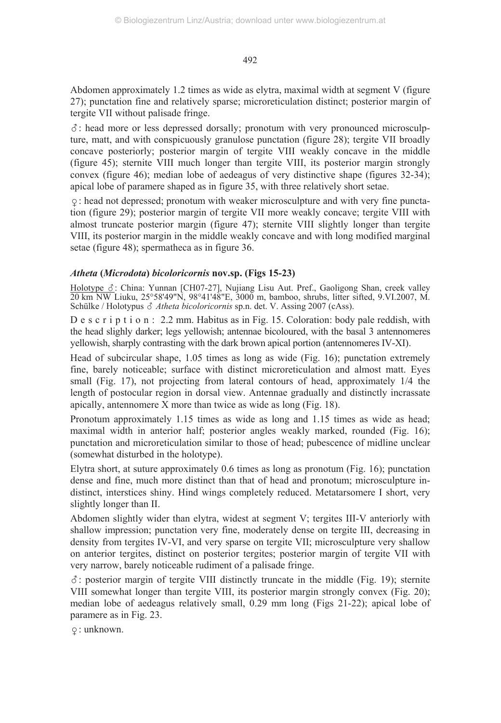Abdomen approximately 1.2 times as wide as elytra, maximal width at segment V (figure 27); punctation fine and relatively sparse; microreticulation distinct; posterior margin of tergite VII without palisade fringe.

-: head more or less depressed dorsally; pronotum with very pronounced microsculpture, matt, and with conspicuously granulose punctation (figure 28); tergite VII broadly concave posteriorly; posterior margin of tergite VIII weakly concave in the middle (figure 45); sternite VIII much longer than tergite VIII, its posterior margin strongly convex (figure 46); median lobe of aedeagus of very distinctive shape (figures 32-34); apical lobe of paramere shaped as in figure 35, with three relatively short setae.

: head not depressed; pronotum with weaker microsculpture and with very fine punctation (figure 29); posterior margin of tergite VII more weakly concave; tergite VIII with almost truncate posterior margin (figure 47); sternite VIII slightly longer than tergite VIII, its posterior margin in the middle weakly concave and with long modified marginal setae (figure 48); spermatheca as in figure 36.

## *Atheta* **(***Microdota***)** *bicoloricornis* **nov.sp. (Figs 15-23)**

Holotype &: China: Yunnan [CH07-27], Nujiang Lisu Aut. Pref., Gaoligong Shan, creek valley 20 km NW Liuku, 25°58'49"N, 98°41'48"E, 3000 m, bamboo, shrubs, litter sifted, 9.VI.2007, M. Schülke / Holotypus & Atheta bicoloricornis sp.n. det. V. Assing 2007 (cAss).

D e s c r i p t i o n : 2.2 mm. Habitus as in Fig. 15. Coloration: body pale reddish, with the head slighly darker; legs yellowish; antennae bicoloured, with the basal 3 antennomeres yellowish, sharply contrasting with the dark brown apical portion (antennomeres IV-XI).

Head of subcircular shape, 1.05 times as long as wide (Fig. 16); punctation extremely fine, barely noticeable; surface with distinct microreticulation and almost matt. Eyes small (Fig. 17), not projecting from lateral contours of head, approximately 1/4 the length of postocular region in dorsal view. Antennae gradually and distinctly incrassate apically, antennomere X more than twice as wide as long (Fig. 18).

Pronotum approximately 1.15 times as wide as long and 1.15 times as wide as head; maximal width in anterior half; posterior angles weakly marked, rounded (Fig. 16); punctation and microreticulation similar to those of head; pubescence of midline unclear (somewhat disturbed in the holotype).

Elytra short, at suture approximately 0.6 times as long as pronotum (Fig. 16); punctation dense and fine, much more distinct than that of head and pronotum; microsculpture indistinct, interstices shiny. Hind wings completely reduced. Metatarsomere I short, very slightly longer than II.

Abdomen slightly wider than elytra, widest at segment V; tergites III-V anteriorly with shallow impression; punctation very fine, moderately dense on tergite III, decreasing in density from tergites IV-VI, and very sparse on tergite VII; microsculpture very shallow on anterior tergites, distinct on posterior tergites; posterior margin of tergite VII with very narrow, barely noticeable rudiment of a palisade fringe.

-: posterior margin of tergite VIII distinctly truncate in the middle (Fig. 19); sternite VIII somewhat longer than tergite VIII, its posterior margin strongly convex (Fig. 20); median lobe of aedeagus relatively small, 0.29 mm long (Figs 21-22); apical lobe of paramere as in Fig. 23.

: unknown.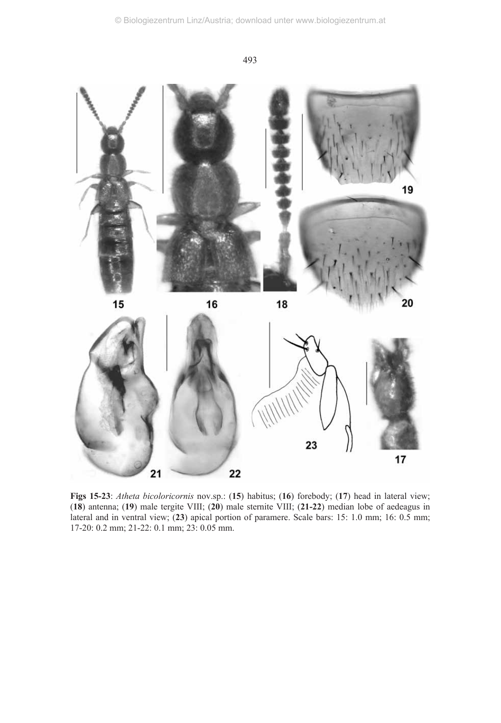

**Figs 15-23**: *Atheta bicoloricornis* nov.sp.: (**15**) habitus; (**16**) forebody; (**17**) head in lateral view; (**18**) antenna; (**19**) male tergite VIII; (**20**) male sternite VIII; (**21-22**) median lobe of aedeagus in lateral and in ventral view; (**23**) apical portion of paramere. Scale bars: 15: 1.0 mm; 16: 0.5 mm; 17-20: 0.2 mm; 21-22: 0.1 mm; 23: 0.05 mm.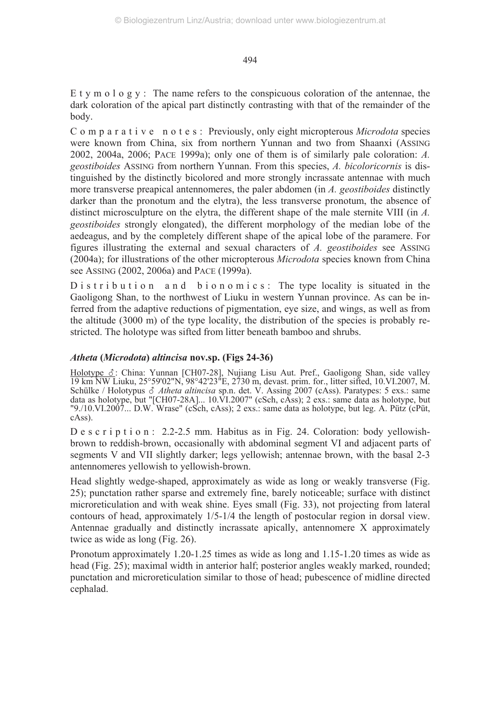E t y m o l o g y : The name refers to the conspicuous coloration of the antennae, the dark coloration of the apical part distinctly contrasting with that of the remainder of the body.

C o m p a r a t i v e n o t e s : Previously, only eight micropterous *Microdota* species were known from China, six from northern Yunnan and two from Shaanxi (ASSING 2002, 2004a, 2006; PACE 1999a); only one of them is of similarly pale coloration: *A. geostiboides* ASSING from northern Yunnan. From this species, *A. bicoloricornis* is distinguished by the distinctly bicolored and more strongly incrassate antennae with much more transverse preapical antennomeres, the paler abdomen (in *A. geostiboides* distinctly darker than the pronotum and the elytra), the less transverse pronotum, the absence of distinct microsculpture on the elytra, the different shape of the male sternite VIII (in *A. geostiboides* strongly elongated), the different morphology of the median lobe of the aedeagus, and by the completely different shape of the apical lobe of the paramere. For figures illustrating the external and sexual characters of *A. geostiboides* see ASSING (2004a); for illustrations of the other micropterous *Microdota* species known from China see ASSING (2002, 2006a) and PACE (1999a).

 $D$  is t r i b u t i o n  $n$  a n d b i o n o m i c s : The type locality is situated in the Gaoligong Shan, to the northwest of Liuku in western Yunnan province. As can be inferred from the adaptive reductions of pigmentation, eye size, and wings, as well as from the altitude (3000 m) of the type locality, the distribution of the species is probably restricted. The holotype was sifted from litter beneath bamboo and shrubs.

#### *Atheta* **(***Microdota***)** *altincisa* **nov.sp. (Figs 24-36)**

Holotype &: China: Yunnan [CH07-28], Nujiang Lisu Aut. Pref., Gaoligong Shan, side valley 19 km NW Liuku, 25°59'02"N, 98°42'23"E, 2730 m, devast. prim. for., litter sifted, 10.VI.2007, M. Schülke / Holotypus  $\delta$  Atheta altincisa sp.n. det. V. Assing 2007 (cAss). Paratypes: 5 exs.: same data as holotype, but "[CH07-28A]... 10.VI.2007" (cSch, cAss); 2 exs.: same data as holotype, but "9./10.VI.2007... D.W. Wrase" (cSch, cAss); 2 exs.: same data as holotype, but leg. A. Pütz (cPüt, cAss).

D e s c r i p t i o n : 2.2-2.5 mm. Habitus as in Fig. 24. Coloration: body yellowishbrown to reddish-brown, occasionally with abdominal segment VI and adjacent parts of segments V and VII slightly darker; legs yellowish; antennae brown, with the basal 2-3 antennomeres yellowish to yellowish-brown.

Head slightly wedge-shaped, approximately as wide as long or weakly transverse (Fig. 25); punctation rather sparse and extremely fine, barely noticeable; surface with distinct microreticulation and with weak shine. Eyes small (Fig. 33), not projecting from lateral contours of head, approximately 1/5-1/4 the length of postocular region in dorsal view. Antennae gradually and distinctly incrassate apically, antennomere X approximately twice as wide as long (Fig. 26).

Pronotum approximately 1.20-1.25 times as wide as long and 1.15-1.20 times as wide as head (Fig. 25); maximal width in anterior half; posterior angles weakly marked, rounded; punctation and microreticulation similar to those of head; pubescence of midline directed cephalad.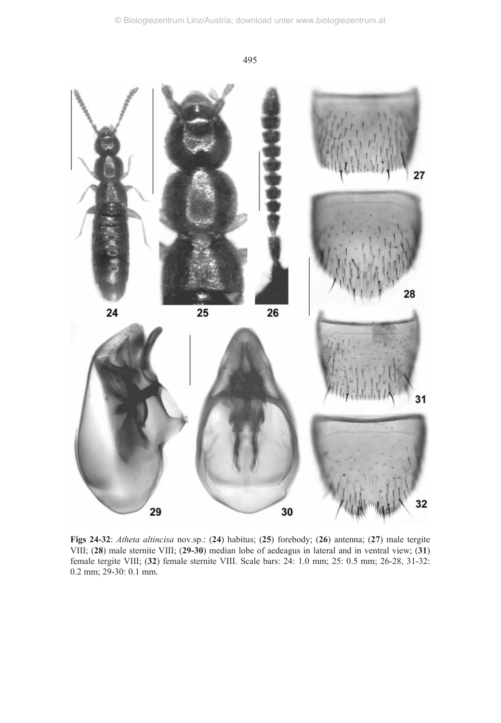



**Figs 24-32**: *Atheta altincisa* nov.sp.: (**24**) habitus; (**25**) forebody; (**26**) antenna; (**27**) male tergite VIII; (**28**) male sternite VIII; (**29-30**) median lobe of aedeagus in lateral and in ventral view; (**31**) female tergite VIII; (**32**) female sternite VIII. Scale bars: 24: 1.0 mm; 25: 0.5 mm; 26-28, 31-32: 0.2 mm; 29-30: 0.1 mm.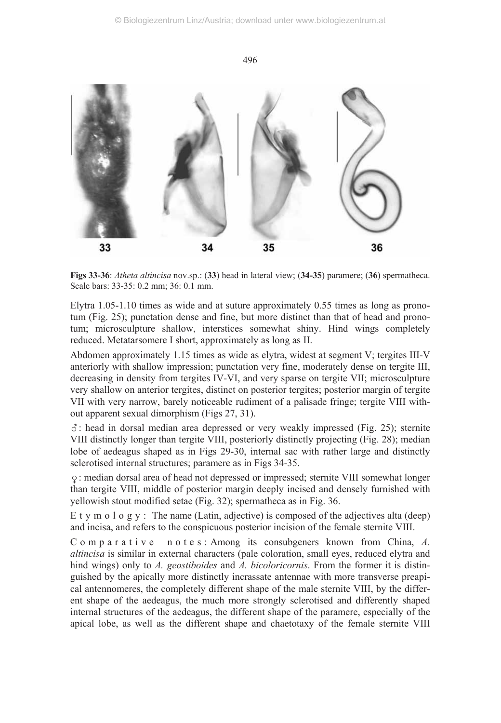

**Figs 33-36**: *Atheta altincisa* nov.sp.: (**33**) head in lateral view; (**34-35**) paramere; (**36**) spermatheca. Scale bars: 33-35: 0.2 mm; 36: 0.1 mm.

Elytra 1.05-1.10 times as wide and at suture approximately 0.55 times as long as pronotum (Fig. 25); punctation dense and fine, but more distinct than that of head and pronotum; microsculpture shallow, interstices somewhat shiny. Hind wings completely reduced. Metatarsomere I short, approximately as long as II.

Abdomen approximately 1.15 times as wide as elytra, widest at segment V; tergites III-V anteriorly with shallow impression; punctation very fine, moderately dense on tergite III, decreasing in density from tergites IV-VI, and very sparse on tergite VII; microsculpture very shallow on anterior tergites, distinct on posterior tergites; posterior margin of tergite VII with very narrow, barely noticeable rudiment of a palisade fringe; tergite VIII without apparent sexual dimorphism (Figs 27, 31).

-: head in dorsal median area depressed or very weakly impressed (Fig. 25); sternite VIII distinctly longer than tergite VIII, posteriorly distinctly projecting (Fig. 28); median lobe of aedeagus shaped as in Figs 29-30, internal sac with rather large and distinctly sclerotised internal structures; paramere as in Figs 34-35.

: median dorsal area of head not depressed or impressed; sternite VIII somewhat longer than tergite VIII, middle of posterior margin deeply incised and densely furnished with yellowish stout modified setae (Fig. 32); spermatheca as in Fig. 36.

E t y m o l o g y : The name (Latin, adjective) is composed of the adjectives alta (deep) and incisa, and refers to the conspicuous posterior incision of the female sternite VIII.

C o m p a r a t i v e n o t e s : Among its consubgeners known from China, A. *altincisa* is similar in external characters (pale coloration, small eyes, reduced elytra and hind wings) only to *A. geostiboides* and *A. bicoloricornis*. From the former it is distinguished by the apically more distinctly incrassate antennae with more transverse preapical antennomeres, the completely different shape of the male sternite VIII, by the different shape of the aedeagus, the much more strongly sclerotised and differently shaped internal structures of the aedeagus, the different shape of the paramere, especially of the apical lobe, as well as the different shape and chaetotaxy of the female sternite VIII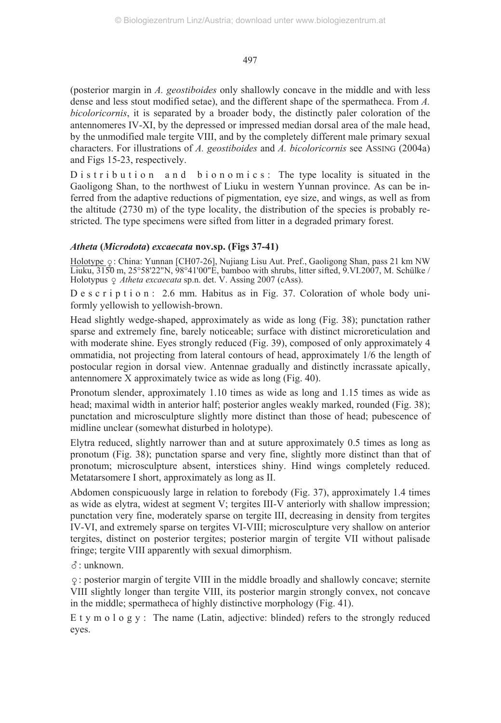(posterior margin in *A. geostiboides* only shallowly concave in the middle and with less dense and less stout modified setae), and the different shape of the spermatheca. From *A. bicoloricornis*, it is separated by a broader body, the distinctly paler coloration of the antennomeres IV-XI, by the depressed or impressed median dorsal area of the male head, by the unmodified male tergite VIII, and by the completely different male primary sexual characters. For illustrations of *A. geostiboides* and *A. bicoloricornis* see ASSING (2004a) and Figs 15-23, respectively.

D is tribution and bionomics: The type locality is situated in the Gaoligong Shan, to the northwest of Liuku in western Yunnan province. As can be inferred from the adaptive reductions of pigmentation, eye size, and wings, as well as from the altitude (2730 m) of the type locality, the distribution of the species is probably restricted. The type specimens were sifted from litter in a degraded primary forest.

## *Atheta* **(***Microdota***)** *excaecata* **nov.sp. (Figs 37-41)**

Holotype  $\varphi$ : China: Yunnan [CH07-26], Nujiang Lisu Aut. Pref., Gaoligong Shan, pass 21 km NW Liuku, 3150 m, 25°58'22"N, 98°41'00"E, bamboo with shrubs, litter sifted, 9.VI.2007, M. Schülke / Holotypus *Atheta excaecata* sp.n. det. V. Assing 2007 (cAss).

D e s c r i p t i o n : 2.6 mm. Habitus as in Fig. 37. Coloration of whole body uniformly yellowish to yellowish-brown.

Head slightly wedge-shaped, approximately as wide as long (Fig. 38); punctation rather sparse and extremely fine, barely noticeable; surface with distinct microreticulation and with moderate shine. Eyes strongly reduced (Fig. 39), composed of only approximately 4 ommatidia, not projecting from lateral contours of head, approximately 1/6 the length of postocular region in dorsal view. Antennae gradually and distinctly incrassate apically, antennomere X approximately twice as wide as long (Fig. 40).

Pronotum slender, approximately 1.10 times as wide as long and 1.15 times as wide as head; maximal width in anterior half; posterior angles weakly marked, rounded (Fig. 38); punctation and microsculpture slightly more distinct than those of head; pubescence of midline unclear (somewhat disturbed in holotype).

Elytra reduced, slightly narrower than and at suture approximately 0.5 times as long as pronotum (Fig. 38); punctation sparse and very fine, slightly more distinct than that of pronotum; microsculpture absent, interstices shiny. Hind wings completely reduced. Metatarsomere I short, approximately as long as II.

Abdomen conspicuously large in relation to forebody (Fig. 37), approximately 1.4 times as wide as elytra, widest at segment V; tergites III-V anteriorly with shallow impression; punctation very fine, moderately sparse on tergite III, decreasing in density from tergites IV-VI, and extremely sparse on tergites VI-VIII; microsculpture very shallow on anterior tergites, distinct on posterior tergites; posterior margin of tergite VII without palisade fringe; tergite VIII apparently with sexual dimorphism.

-: unknown.

: posterior margin of tergite VIII in the middle broadly and shallowly concave; sternite VIII slightly longer than tergite VIII, its posterior margin strongly convex, not concave in the middle; spermatheca of highly distinctive morphology (Fig. 41).

E t y m o l o g y : The name (Latin, adjective: blinded) refers to the strongly reduced eyes.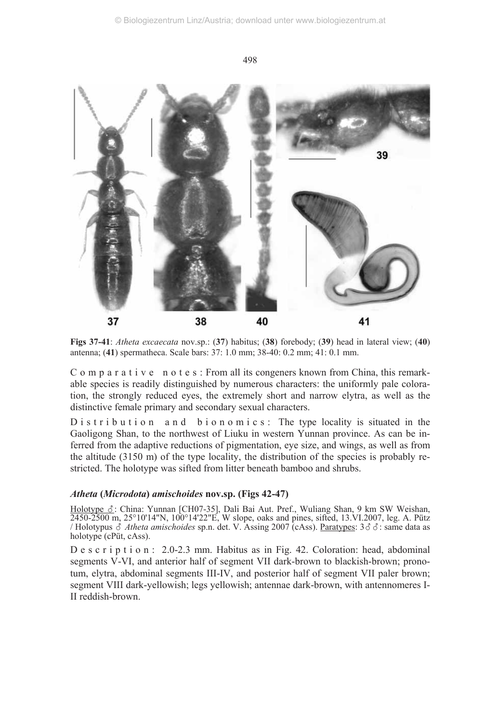

**Figs 37-41**: *Atheta excaecata* nov.sp.: (**37**) habitus; (**38**) forebody; (**39**) head in lateral view; (**40**) antenna; (**41**) spermatheca. Scale bars: 37: 1.0 mm; 38-40: 0.2 mm; 41: 0.1 mm.

C o m p a r a t i v e n o t e s : From all its congeners known from China, this remarkable species is readily distinguished by numerous characters: the uniformly pale coloration, the strongly reduced eyes, the extremely short and narrow elytra, as well as the distinctive female primary and secondary sexual characters.

D is tribution and bionomics: The type locality is situated in the Gaoligong Shan, to the northwest of Liuku in western Yunnan province. As can be inferred from the adaptive reductions of pigmentation, eye size, and wings, as well as from the altitude (3150 m) of the type locality, the distribution of the species is probably restricted. The holotype was sifted from litter beneath bamboo and shrubs.

## *Atheta* **(***Microdota***)** *amischoides* **nov.sp. (Figs 42-47)**

Holotype &: China: Yunnan [CH07-35], Dali Bai Aut. Pref., Wuliang Shan, 9 km SW Weishan, 2450-2500 m, 25°10'14"N, 100°14'22"E, W slope, oaks and pines, sifted, 13.VI.2007, leg. A. Pütz / Holotypus *& Atheta amischoides* sp.n. det. V. Assing 2007 (cAss). <u>Paratypes</u>: 3&&: same data as holotype (cPüt, cAss).

D e s c r i p t i o n : 2.0-2.3 mm. Habitus as in Fig. 42. Coloration: head, abdominal segments V-VI, and anterior half of segment VII dark-brown to blackish-brown; pronotum, elytra, abdominal segments III-IV, and posterior half of segment VII paler brown; segment VIII dark-yellowish; legs yellowish; antennae dark-brown, with antennomeres I-II reddish-brown.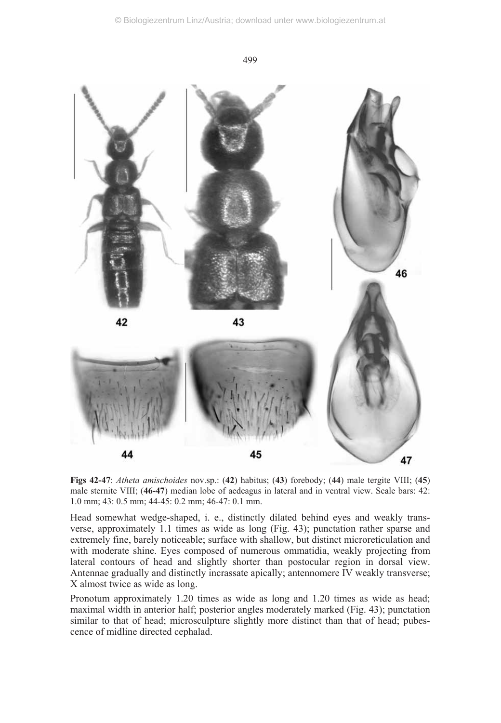

**Figs 42-47**: *Atheta amischoides* nov.sp.: (**42**) habitus; (**43**) forebody; (**44**) male tergite VIII; (**45**) male sternite VIII; (**46-47**) median lobe of aedeagus in lateral and in ventral view. Scale bars: 42: 1.0 mm; 43: 0.5 mm; 44-45: 0.2 mm; 46-47: 0.1 mm.

Head somewhat wedge-shaped, i. e., distinctly dilated behind eyes and weakly transverse, approximately 1.1 times as wide as long (Fig. 43); punctation rather sparse and extremely fine, barely noticeable; surface with shallow, but distinct microreticulation and with moderate shine. Eyes composed of numerous ommatidia, weakly projecting from lateral contours of head and slightly shorter than postocular region in dorsal view. Antennae gradually and distinctly incrassate apically; antennomere IV weakly transverse; X almost twice as wide as long.

Pronotum approximately 1.20 times as wide as long and 1.20 times as wide as head; maximal width in anterior half; posterior angles moderately marked (Fig. 43); punctation similar to that of head; microsculpture slightly more distinct than that of head; pubescence of midline directed cephalad.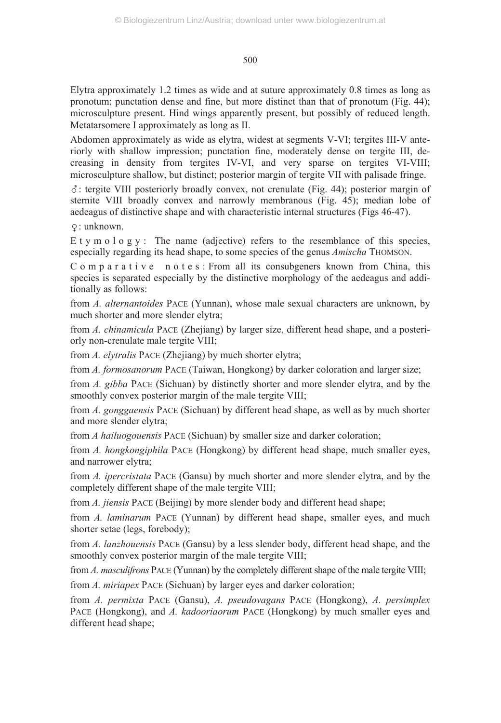Elytra approximately 1.2 times as wide and at suture approximately 0.8 times as long as pronotum; punctation dense and fine, but more distinct than that of pronotum (Fig. 44); microsculpture present. Hind wings apparently present, but possibly of reduced length. Metatarsomere I approximately as long as II.

Abdomen approximately as wide as elytra, widest at segments V-VI; tergites III-V anteriorly with shallow impression; punctation fine, moderately dense on tergite III, decreasing in density from tergites IV-VI, and very sparse on tergites VI-VIII; microsculpture shallow, but distinct; posterior margin of tergite VII with palisade fringe.

-: tergite VIII posteriorly broadly convex, not crenulate (Fig. 44); posterior margin of sternite VIII broadly convex and narrowly membranous (Fig. 45); median lobe of aedeagus of distinctive shape and with characteristic internal structures (Figs 46-47).

: unknown.

E t y m o l o g y : The name (adjective) refers to the resemblance of this species, especially regarding its head shape, to some species of the genus *Amischa* THOMSON.

C o m p a r a t i v e n o t e s : From all its consubgeners known from China, this species is separated especially by the distinctive morphology of the aedeagus and additionally as follows:

from *A. alternantoides* PACE (Yunnan), whose male sexual characters are unknown, by much shorter and more slender elytra;

from *A. chinamicula* PACE (Zhejiang) by larger size, different head shape, and a posteriorly non-crenulate male tergite VIII;

from *A. elytralis* PACE (Zhejiang) by much shorter elytra;

from *A. formosanorum* PACE (Taiwan, Hongkong) by darker coloration and larger size;

from *A. gibba* PACE (Sichuan) by distinctly shorter and more slender elytra, and by the smoothly convex posterior margin of the male tergite VIII;

from *A. gonggaensis* PACE (Sichuan) by different head shape, as well as by much shorter and more slender elytra;

from *A hailuogouensis* PACE (Sichuan) by smaller size and darker coloration;

from *A. hongkongiphila* PACE (Hongkong) by different head shape, much smaller eyes, and narrower elytra;

from *A. ipercristata* PACE (Gansu) by much shorter and more slender elytra, and by the completely different shape of the male tergite VIII;

from *A. jiensis* PACE (Beijing) by more slender body and different head shape;

from *A. laminarum* PACE (Yunnan) by different head shape, smaller eyes, and much shorter setae (legs, forebody);

from *A. lanzhouensis* PACE (Gansu) by a less slender body, different head shape, and the smoothly convex posterior margin of the male tergite VIII;

from *A. masculifrons* PACE (Yunnan) by the completely different shape of the male tergite VIII; from *A. miriapex* PACE (Sichuan) by larger eyes and darker coloration;

from *A. permixta* PACE (Gansu), *A. pseudovagans* PACE (Hongkong), *A. persimplex* PACE (Hongkong), and *A. kadooriaorum* PACE (Hongkong) by much smaller eyes and different head shape;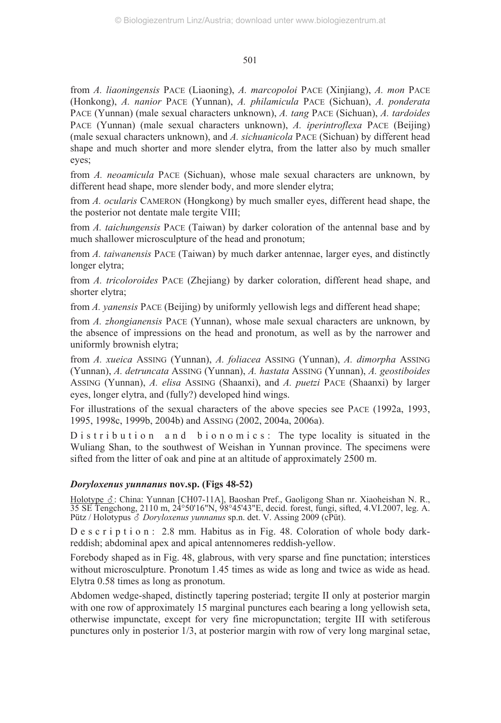from *A. liaoningensis* PACE (Liaoning), *A. marcopoloi* PACE (Xinjiang), *A. mon* PACE (Honkong), *A. nanior* PACE (Yunnan), *A. philamicula* PACE (Sichuan), *A. ponderata* PACE (Yunnan) (male sexual characters unknown), *A. tang* PACE (Sichuan), *A. tardoides* PACE (Yunnan) (male sexual characters unknown), *A. iperintroflexa* PACE (Beijing) (male sexual characters unknown), and *A. sichuanicola* PACE (Sichuan) by different head shape and much shorter and more slender elytra, from the latter also by much smaller eyes;

from *A. neoamicula* PACE (Sichuan), whose male sexual characters are unknown, by different head shape, more slender body, and more slender elytra;

from *A. ocularis* CAMERON (Hongkong) by much smaller eyes, different head shape, the the posterior not dentate male tergite VIII;

from *A. taichungensis* PACE (Taiwan) by darker coloration of the antennal base and by much shallower microsculpture of the head and pronotum;

from *A. taiwanensis* PACE (Taiwan) by much darker antennae, larger eyes, and distinctly longer elytra;

from *A. tricoloroides* PACE (Zhejiang) by darker coloration, different head shape, and shorter elytra;

from *A. yanensis* PACE (Beijing) by uniformly yellowish legs and different head shape;

from *A. zhongianensis* PACE (Yunnan), whose male sexual characters are unknown, by the absence of impressions on the head and pronotum, as well as by the narrower and uniformly brownish elytra;

from *A. xueica* ASSING (Yunnan), *A. foliacea* ASSING (Yunnan), *A. dimorpha* ASSING (Yunnan), *A. detruncata* ASSING (Yunnan), *A. hastata* ASSING (Yunnan), *A. geostiboides* ASSING (Yunnan), *A. elisa* ASSING (Shaanxi), and *A. puetzi* PACE (Shaanxi) by larger eyes, longer elytra, and (fully?) developed hind wings.

For illustrations of the sexual characters of the above species see PACE (1992a, 1993, 1995, 1998c, 1999b, 2004b) and ASSING (2002, 2004a, 2006a).

 $D$  is t r i b u t i o n  $n$  n d b i o n o m i c s : The type locality is situated in the Wuliang Shan, to the southwest of Weishan in Yunnan province. The specimens were sifted from the litter of oak and pine at an altitude of approximately 2500 m.

## *Doryloxenus yunnanus* **nov.sp. (Figs 48-52)**

Holotype &: China: Yunnan [CH07-11A], Baoshan Pref., Gaoligong Shan nr. Xiaoheishan N. R., 35 SE Tengchong, 2110 m, 24°50'16"N, 98°45'43"E, decid. forest, fungi, sifted, 4.VI.2007, leg. A. Pütz / Holotypus *& Doryloxenus yunnanus* sp.n. det. V. Assing 2009 (cPüt).

D e s c r i p t i o n : 2.8 mm. Habitus as in Fig. 48. Coloration of whole body darkreddish; abdominal apex and apical antennomeres reddish-yellow.

Forebody shaped as in Fig. 48, glabrous, with very sparse and fine punctation; interstices without microsculpture. Pronotum 1.45 times as wide as long and twice as wide as head. Elytra 0.58 times as long as pronotum.

Abdomen wedge-shaped, distinctly tapering posteriad; tergite II only at posterior margin with one row of approximately 15 marginal punctures each bearing a long yellowish seta, otherwise impunctate, except for very fine micropunctation; tergite III with setiferous punctures only in posterior 1/3, at posterior margin with row of very long marginal setae,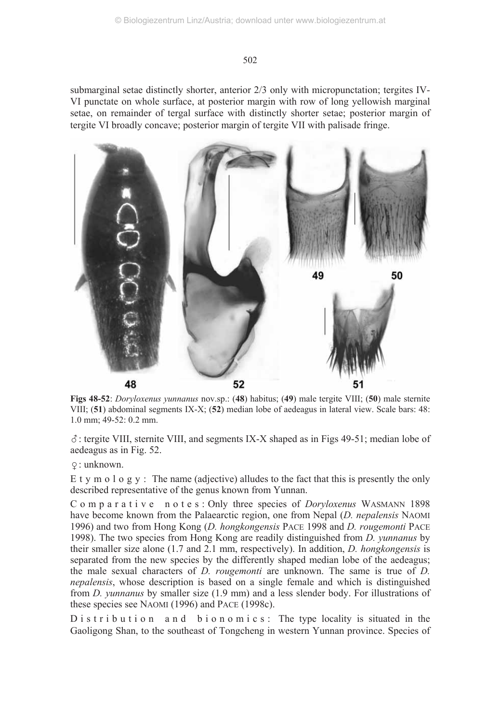submarginal setae distinctly shorter, anterior 2/3 only with micropunctation; tergites IV-VI punctate on whole surface, at posterior margin with row of long yellowish marginal setae, on remainder of tergal surface with distinctly shorter setae; posterior margin of tergite VI broadly concave; posterior margin of tergite VII with palisade fringe.



**Figs 48-52**: *Doryloxenus yunnanus* nov.sp.: (**48**) habitus; (**49**) male tergite VIII; (**50**) male sternite VIII; (**51**) abdominal segments IX-X; (**52**) median lobe of aedeagus in lateral view. Scale bars: 48: 1.0 mm; 49-52: 0.2 mm.

-: tergite VIII, sternite VIII, and segments IX-X shaped as in Figs 49-51; median lobe of aedeagus as in Fig. 52.

: unknown.

E t y m o l o g y : The name (adjective) alludes to the fact that this is presently the only described representative of the genus known from Yunnan.

C o m p a r a t i v e n o t e s : Only three species of *Doryloxenus* WASMANN 1898 have become known from the Palaearctic region, one from Nepal (*D. nepalensis* NAOMI 1996) and two from Hong Kong (*D. hongkongensis* PACE 1998 and *D. rougemonti* PACE 1998). The two species from Hong Kong are readily distinguished from *D. yunnanus* by their smaller size alone (1.7 and 2.1 mm, respectively). In addition, *D. hongkongensis* is separated from the new species by the differently shaped median lobe of the aedeagus; the male sexual characters of *D. rougemonti* are unknown. The same is true of *D. nepalensis*, whose description is based on a single female and which is distinguished from *D. yunnanus* by smaller size (1.9 mm) and a less slender body. For illustrations of these species see NAOMI (1996) and PACE (1998c).

D is t r i b u t i o n a n d b i o n o m i c s : The type locality is situated in the Gaoligong Shan, to the southeast of Tongcheng in western Yunnan province. Species of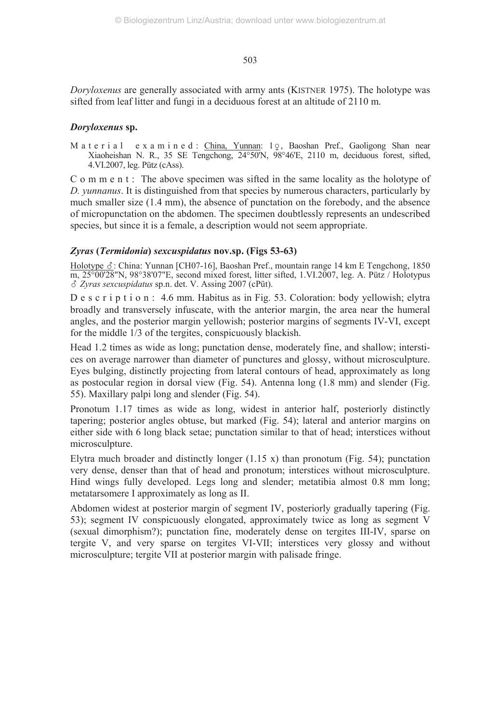*Doryloxenus* are generally associated with army ants (KISTNER 1975). The holotype was sifted from leaf litter and fungi in a deciduous forest at an altitude of 2110 m.

#### *Doryloxenus* **sp.**

M a t e r i a l e x a m i n e d : China, Yunnan: 19, Baoshan Pref., Gaoligong Shan near Xiaoheishan N. R., 35 SE Tengchong, 24°50'N, 98°46'E, 2110 m, deciduous forest, sifted, 4.VI.2007, leg. Pütz (cAss).

C o m m e n t : The above specimen was sifted in the same locality as the holotype of *D. yunnanus*. It is distinguished from that species by numerous characters, particularly by much smaller size (1.4 mm), the absence of punctation on the forebody, and the absence of micropunctation on the abdomen. The specimen doubtlessly represents an undescribed species, but since it is a female, a description would not seem appropriate.

## *Zyras* **(***Termidonia***)** *sexcuspidatus* **nov.sp. (Figs 53-63)**

Holotype &: China: Yunnan [CH07-16], Baoshan Pref., mountain range 14 km E Tengchong, 1850 m, 25°00'28"N, 98°38'07"E, second mixed forest, litter sifted, 1.VI.2007, leg. A. Pütz / Holotypus - *Zyras sexcuspidatus* sp.n. det. V. Assing 2007 (cPüt).

D e s c r i p t i o n : 4.6 mm. Habitus as in Fig. 53. Coloration: body yellowish; elytra broadly and transversely infuscate, with the anterior margin, the area near the humeral angles, and the posterior margin yellowish; posterior margins of segments IV-VI, except for the middle 1/3 of the tergites, conspicuously blackish.

Head 1.2 times as wide as long; punctation dense, moderately fine, and shallow; interstices on average narrower than diameter of punctures and glossy, without microsculpture. Eyes bulging, distinctly projecting from lateral contours of head, approximately as long as postocular region in dorsal view (Fig. 54). Antenna long (1.8 mm) and slender (Fig. 55). Maxillary palpi long and slender (Fig. 54).

Pronotum 1.17 times as wide as long, widest in anterior half, posteriorly distinctly tapering; posterior angles obtuse, but marked (Fig. 54); lateral and anterior margins on either side with 6 long black setae; punctation similar to that of head; interstices without microsculpture.

Elytra much broader and distinctly longer  $(1.15 \text{ x})$  than pronotum (Fig. 54); punctation very dense, denser than that of head and pronotum; interstices without microsculpture. Hind wings fully developed. Legs long and slender; metatibia almost 0.8 mm long; metatarsomere I approximately as long as II.

Abdomen widest at posterior margin of segment IV, posteriorly gradually tapering (Fig. 53); segment IV conspicuously elongated, approximately twice as long as segment V (sexual dimorphism?); punctation fine, moderately dense on tergites III-IV, sparse on tergite V, and very sparse on tergites VI-VII; interstices very glossy and without microsculpture; tergite VII at posterior margin with palisade fringe.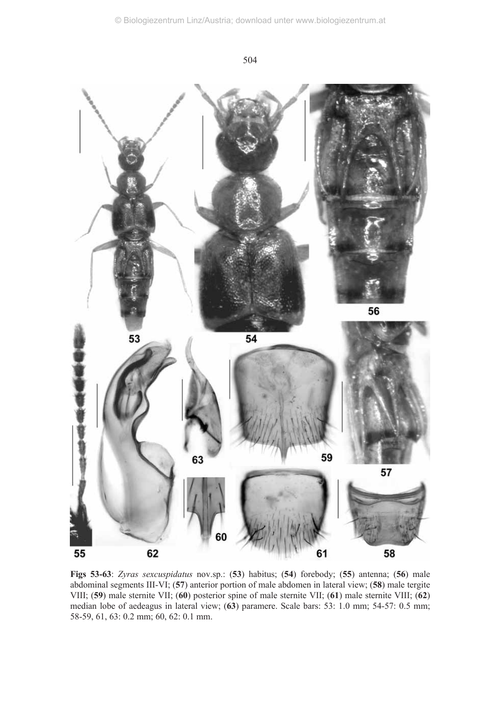

**Figs 53-63**: *Zyras sexcuspidatus* nov.sp.: (**53**) habitus; (**54**) forebody; (**55**) antenna; (**56**) male abdominal segments III-VI; (**57**) anterior portion of male abdomen in lateral view; (**58**) male tergite VIII; (**59**) male sternite VII; (**60**) posterior spine of male sternite VII; (**61**) male sternite VIII; (**62**) median lobe of aedeagus in lateral view; (**63**) paramere. Scale bars: 53: 1.0 mm; 54-57: 0.5 mm; 58-59, 61, 63: 0.2 mm; 60, 62: 0.1 mm.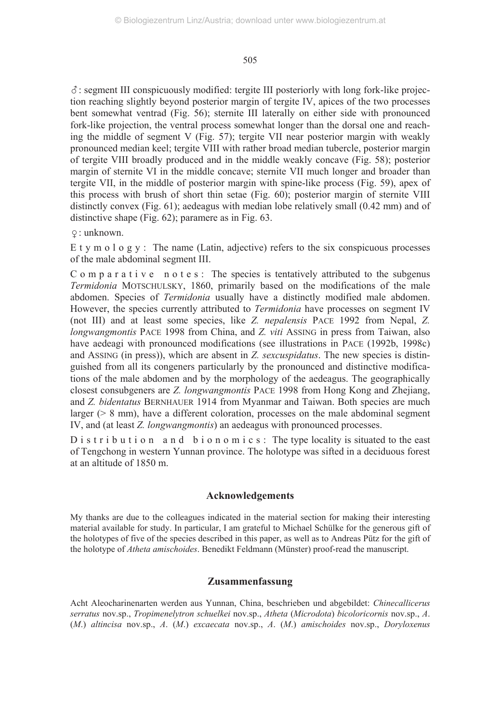-: segment III conspicuously modified: tergite III posteriorly with long fork-like projection reaching slightly beyond posterior margin of tergite IV, apices of the two processes bent somewhat ventrad (Fig. 56); sternite III laterally on either side with pronounced fork-like projection, the ventral process somewhat longer than the dorsal one and reaching the middle of segment V (Fig. 57); tergite VII near posterior margin with weakly pronounced median keel; tergite VIII with rather broad median tubercle, posterior margin of tergite VIII broadly produced and in the middle weakly concave (Fig. 58); posterior margin of sternite VI in the middle concave; sternite VII much longer and broader than tergite VII, in the middle of posterior margin with spine-like process (Fig. 59), apex of this process with brush of short thin setae (Fig. 60); posterior margin of sternite VIII distinctly convex (Fig. 61); aedeagus with median lobe relatively small (0.42 mm) and of distinctive shape (Fig. 62); paramere as in Fig. 63.

: unknown.

E t y m o  $l$  o g y : The name (Latin, adjective) refers to the six conspicuous processes of the male abdominal segment III.

 $C$  o m p a r a t i v e n o t e s : The species is tentatively attributed to the subgenus *Termidonia* MOTSCHULSKY, 1860, primarily based on the modifications of the male abdomen. Species of *Termidonia* usually have a distinctly modified male abdomen. However, the species currently attributed to *Termidonia* have processes on segment IV (not III) and at least some species, like *Z. nepalensis* PACE 1992 from Nepal, *Z. longwangmontis* PACE 1998 from China, and *Z. viti* ASSING in press from Taiwan, also have aedeagi with pronounced modifications (see illustrations in PACE (1992b, 1998c) and ASSING (in press)), which are absent in *Z. sexcuspidatus*. The new species is distinguished from all its congeners particularly by the pronounced and distinctive modifications of the male abdomen and by the morphology of the aedeagus. The geographically closest consubgeners are *Z. longwangmontis* PACE 1998 from Hong Kong and Zhejiang, and *Z. bidentatus* BERNHAUER 1914 from Myanmar and Taiwan. Both species are much larger (> 8 mm), have a different coloration, processes on the male abdominal segment IV, and (at least *Z. longwangmontis*) an aedeagus with pronounced processes.

 $D$  is t r i b u t i o n a n d b i o n o m i c s : The type locality is situated to the east of Tengchong in western Yunnan province. The holotype was sifted in a deciduous forest at an altitude of 1850 m.

#### **Acknowledgements**

My thanks are due to the colleagues indicated in the material section for making their interesting material available for study. In particular, I am grateful to Michael Schülke for the generous gift of the holotypes of five of the species described in this paper, as well as to Andreas Pütz for the gift of the holotype of *Atheta amischoides*. Benedikt Feldmann (Münster) proof-read the manuscript.

#### **Zusammenfassung**

Acht Aleocharinenarten werden aus Yunnan, China, beschrieben und abgebildet: *Chinecallicerus serratus* nov.sp., *Tropimenelytron schuelkei* nov.sp., *Atheta* (*Microdota*) *bicoloricornis* nov.sp., *A*. (*M*.) *altincisa* nov.sp., *A*. (*M*.) *excaecata* nov.sp., *A*. (*M*.) *amischoides* nov.sp., *Doryloxenus*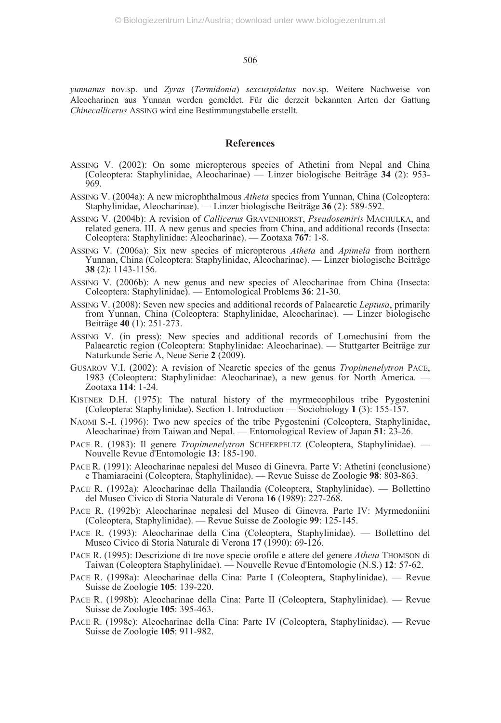*yunnanus* nov.sp. und *Zyras* (*Termidonia*) *sexcuspidatus* nov.sp. Weitere Nachweise von Aleocharinen aus Yunnan werden gemeldet. Für die derzeit bekannten Arten der Gattung *Chinecallicerus* ASSING wird eine Bestimmungstabelle erstellt.

#### **References**

- ASSING V. (2002): On some micropterous species of Athetini from Nepal and China (Coleoptera: Staphylinidae, Aleocharinae) — Linzer biologische Beiträge **34** (2): 953- 969.
- ASSING V. (2004a): A new microphthalmous *Atheta* species from Yunnan, China (Coleoptera: Staphylinidae, Aleocharinae). — Linzer biologische Beiträge **36** (2): 589-592.
- ASSING V. (2004b): A revision of *Callicerus* GRAVENHORST, *Pseudosemiris* MACHULKA, and related genera. III. A new genus and species from China, and additional records (Insecta: Coleoptera: Staphylinidae: Aleocharinae). — Zootaxa **767**: 1-8.
- ASSING V. (2006a): Six new species of micropterous *Atheta* and *Apimela* from northern Yunnan, China (Coleoptera: Staphylinidae, Aleocharinae). — Linzer biologische Beiträge **38** (2): 1143-1156.
- ASSING V. (2006b): A new genus and new species of Aleocharinae from China (Insecta: Coleoptera: Staphylinidae). — Entomological Problems **36**: 21-30.
- ASSING V. (2008): Seven new species and additional records of Palaearctic *Leptusa*, primarily from Yunnan, China (Coleoptera: Staphylinidae, Aleocharinae). — Linzer biologische Beiträge **40** (1): 251-273.
- ASSING V. (in press): New species and additional records of Lomechusini from the Palaearctic region (Coleoptera: Staphylinidae: Aleocharinae). — Stuttgarter Beiträge zur Naturkunde Serie A, Neue Serie 2 (2009).
- GUSAROV V.I. (2002): A revision of Nearctic species of the genus *Tropimenelytron* PACE, 1983 (Coleoptera: Staphylinidae: Aleocharinae), a new genus for North America. — Zootaxa **114**: 1-24.
- KISTNER D.H. (1975): The natural history of the myrmecophilous tribe Pygostenini (Coleoptera: Staphylinidae). Section 1. Introduction — Sociobiology **1** (3): 155-157.
- NAOMI S.-I. (1996): Two new species of the tribe Pygostenini (Coleoptera, Staphylinidae, Aleocharinae) from Taiwan and Nepal. — Entomological Review of Japan **51**: 23-26.
- PACE R. (1983): Il genere *Tropimenelytron* SCHEERPELTZ (Coleoptera, Staphylinidae). Nouvelle Revue d'Entomologie **13**: 185-190.
- PACE R. (1991): Aleocharinae nepalesi del Museo di Ginevra. Parte V: Athetini (conclusione) e Thamiaraeini (Coleoptera, Staphylinidae). — Revue Suisse de Zoologie **98**: 803-863.
- PACE R. (1992a): Aleocharinae della Thailandia (Coleoptera, Staphylinidae). Bollettino del Museo Civico di Storia Naturale di Verona **16** (1989): 227-268.
- PACE R. (1992b): Aleocharinae nepalesi del Museo di Ginevra. Parte IV: Myrmedoniini (Coleoptera, Staphylinidae). — Revue Suisse de Zoologie **99**: 125-145.
- PACE R. (1993): Aleocharinae della Cina (Coleoptera, Staphylinidae). Bollettino del Museo Civico di Storia Naturale di Verona **17** (1990): 69-126.
- PACE R. (1995): Descrizione di tre nove specie orofile e attere del genere *Atheta* THOMSON di Taiwan (Coleoptera Staphylinidae). — Nouvelle Revue d'Entomologie (N.S.) **12**: 57-62.
- PACE R. (1998a): Aleocharinae della Cina: Parte I (Coleoptera, Staphylinidae). Revue Suisse de Zoologie **105**: 139-220.
- PACE R. (1998b): Aleocharinae della Cina: Parte II (Coleoptera, Staphylinidae). Revue Suisse de Zoologie **105**: 395-463.
- PACE R. (1998c): Aleocharinae della Cina: Parte IV (Coleoptera, Staphylinidae). Revue Suisse de Zoologie **105**: 911-982.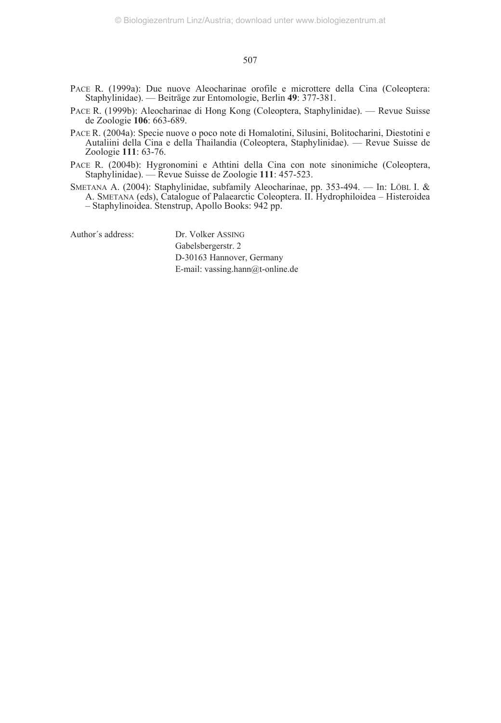- PACE R. (1999a): Due nuove Aleocharinae orofile e microttere della Cina (Coleoptera: Staphylinidae). — Beiträge zur Entomologie, Berlin **49**: 377-381.
- PACE R. (1999b): Aleocharinae di Hong Kong (Coleoptera, Staphylinidae). Revue Suisse de Zoologie **106**: 663-689.
- PACE R. (2004a): Specie nuove o poco note di Homalotini, Silusini, Bolitocharini, Diestotini e Autaliini della Cina e della Thailandia (Coleoptera, Staphylinidae). — Revue Suisse de Zoologie **111**: 63-76.
- PACE R. (2004b): Hygronomini e Athtini della Cina con note sinonimiche (Coleoptera, Staphylinidae). — Revue Suisse de Zoologie **111**: 457-523.
- SMETANA A. (2004): Staphylinidae, subfamily Aleocharinae, pp. 353-494. In: LÖBL I. & A. SMETANA (eds), Catalogue of Palaearctic Coleoptera. II. Hydrophiloidea – Histeroidea – Staphylinoidea. Stenstrup, Apollo Books: 942 pp.

Author´s address: Dr. Volker ASSING

Gabelsbergerstr. 2 D-30163 Hannover, Germany E-mail: vassing.hann@t-online.de